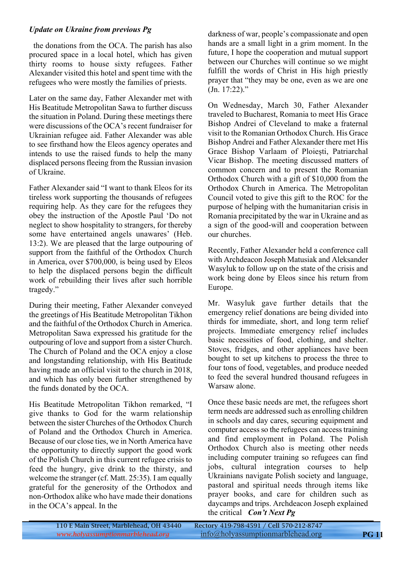#### *Update on Ukraine from previous Pg*

 the donations from the OCA. The parish has also procured space in a local hotel, which has given thirty rooms to house sixty refugees. Father Alexander visited this hotel and spent time with the refugees who were mostly the families of priests.

Later on the same day, Father Alexander met with His Beatitude Metropolitan Sawa to further discuss the situation in Poland. During these meetings there were discussions of the OCA's recent fundraiser for Ukrainian refugee aid. Father Alexander was able to see firsthand how the Eleos agency operates and intends to use the raised funds to help the many displaced persons fleeing from the Russian invasion of Ukraine.

Father Alexander said "I want to thank Eleos for its tireless work supporting the thousands of refugees requiring help. As they care for the refugees they obey the instruction of the Apostle Paul 'Do not neglect to show hospitality to strangers, for thereby some have entertained angels unawares' (Heb. 13:2). We are pleased that the large outpouring of support from the faithful of the Orthodox Church in America, over \$700,000, is being used by Eleos to help the displaced persons begin the difficult work of rebuilding their lives after such horrible tragedy."

During their meeting, Father Alexander conveyed the greetings of His Beatitude Metropolitan Tikhon and the faithful of the Orthodox Church in America. Metropolitan Sawa expressed his gratitude for the outpouring of love and support from a sister Church. The Church of Poland and the OCA enjoy a close and longstanding relationship, with His Beatitude having made an official visit to the church in 2018, and which has only been further strengthened by the funds donated by the OCA.

His Beatitude Metropolitan Tikhon remarked, "I give thanks to God for the warm relationship between the sister Churches of the Orthodox Church of Poland and the Orthodox Church in America. Because of our close ties, we in North America have the opportunity to directly support the good work of the Polish Church in this current refugee crisis to feed the hungry, give drink to the thirsty, and welcome the stranger (cf. Matt. 25:35). I am equally grateful for the generosity of the Orthodox and non-Orthodox alike who have made their donations in the OCA's appeal. In the

darkness of war, people's compassionate and open hands are a small light in a grim moment. In the future, I hope the cooperation and mutual support between our Churches will continue so we might fulfill the words of Christ in His high priestly prayer that "they may be one, even as we are one (Jn. 17:22)."

On Wednesday, March 30, Father Alexander traveled to Bucharest, Romania to meet His Grace Bishop Andrei of Cleveland to make a fraternal visit to the Romanian Orthodox Church. His Grace Bishop Andrei and Father Alexander there met His Grace Bishop Varlaam of Ploiești, Patriarchal Vicar Bishop. The meeting discussed matters of common concern and to present the Romanian Orthodox Church with a gift of \$10,000 from the Orthodox Church in America. The Metropolitan Council voted to give this gift to the ROC for the purpose of helping with the humanitarian crisis in Romania precipitated by the war in Ukraine and as a sign of the good-will and cooperation between our churches.

Recently, Father Alexander held a conference call with Archdeacon Joseph Matusiak and Aleksander Wasyluk to follow up on the state of the crisis and work being done by Eleos since his return from Europe.

Mr. Wasyluk gave further details that the emergency relief donations are being divided into thirds for immediate, short, and long term relief projects. Immediate emergency relief includes basic necessities of food, clothing, and shelter. Stoves, fridges, and other appliances have been bought to set up kitchens to process the three to four tons of food, vegetables, and produce needed to feed the several hundred thousand refugees in Warsaw alone.

Once these basic needs are met, the refugees short term needs are addressed such as enrolling children in schools and day cares, securing equipment and computer access so the refugees can access training and find employment in Poland. The Polish Orthodox Church also is meeting other needs including computer training so refugees can find jobs, cultural integration courses to help Ukrainians navigate Polish society and language, pastoral and spiritual needs through items like prayer books, and care for children such as daycamps and trips. Archdeacon Joseph explained the critical *Con't Next Pg*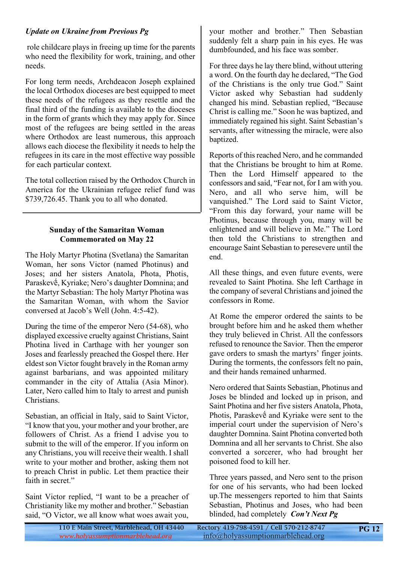## *Update on Ukraine from Previous Pg*

 role childcare plays in freeing up time for the parents who need the flexibility for work, training, and other needs.

For long term needs, Archdeacon Joseph explained the local Orthodox dioceses are best equipped to meet these needs of the refugees as they resettle and the final third of the funding is available to the dioceses in the form of grants which they may apply for. Since most of the refugees are being settled in the areas where Orthodox are least numerous, this approach allows each diocese the flexibility it needs to help the refugees in its care in the most effective way possible for each particular context.

The total collection raised by the Orthodox Church in America for the Ukrainian refugee relief fund was \$739,726.45. Thank you to all who donated.

#### **Sunday of the Samaritan Woman Commemorated on May 22**

The Holy Martyr Photina (Svetlana) the Samaritan Woman, her sons Victor (named Photinus) and Joses; and her sisters Anatola, Phota, Photis, Paraskevḗ, Kyriake; Nero's daughter Domnina; and the Martyr Sebastian: The holy Martyr Photina was the Samaritan Woman, with whom the Savior conversed at Jacob's Well (John. 4:5-42).

During the time of the emperor Nero (54-68), who displayed excessive cruelty against Christians, Saint Photina lived in Carthage with her younger son Joses and fearlessly preached the Gospel there. Her eldest son Victor fought bravely in the Roman army against barbarians, and was appointed military commander in the city of Attalia (Asia Minor). Later, Nero called him to Italy to arrest and punish Christians.

Sebastian, an official in Italy, said to Saint Victor, "I know that you, your mother and your brother, are followers of Christ. As a friend I advise you to submit to the will of the emperor. If you inform on any Christians, you will receive their wealth. I shall write to your mother and brother, asking them not to preach Christ in public. Let them practice their faith in secret."

Saint Victor replied, "I want to be a preacher of Christianity like my mother and brother." Sebastian said, "O Victor, we all know what woes await you,

your mother and brother." Then Sebastian suddenly felt a sharp pain in his eyes. He was dumbfounded, and his face was somber.

For three days he lay there blind, without uttering a word. On the fourth day he declared, "The God of the Christians is the only true God." Saint Victor asked why Sebastian had suddenly changed his mind. Sebastian replied, "Because Christ is calling me." Soon he was baptized, and immediately regained his sight. Saint Sebastian's servants, after witnessing the miracle, were also baptized.

Reports of this reached Nero, and he commanded that the Christians be brought to him at Rome. Then the Lord Himself appeared to the confessors and said, "Fear not, for I am with you. Nero, and all who serve him, will be vanquished." The Lord said to Saint Victor, "From this day forward, your name will be Photinus, because through you, many will be enlightened and will believe in Me." The Lord then told the Christians to strengthen and encourage Saint Sebastian to peresevere until the end.

All these things, and even future events, were revealed to Saint Photina. She left Carthage in the company of several Christians and joined the confessors in Rome.

At Rome the emperor ordered the saints to be brought before him and he asked them whether they truly believed in Christ. All the confessors refused to renounce the Savior. Then the emperor gave orders to smash the martyrs' finger joints. During the torments, the confessors felt no pain, and their hands remained unharmed.

Nero ordered that Saints Sebastian, Photinus and Joses be blinded and locked up in prison, and Saint Photina and her five sisters Anatola, Phota, Photis, Paraskevḗ and Kyriake were sent to the imperial court under the supervision of Nero's daughter Domnina. Saint Photina converted both Domnina and all her servants to Christ. She also converted a sorcerer, who had brought her poisoned food to kill her.

Three years passed, and Nero sent to the prison for one of his servants, who had been locked up.The messengers reported to him that Saints Sebastian, Photinus and Joses, who had been blinded, had completely *Con't Next Pg*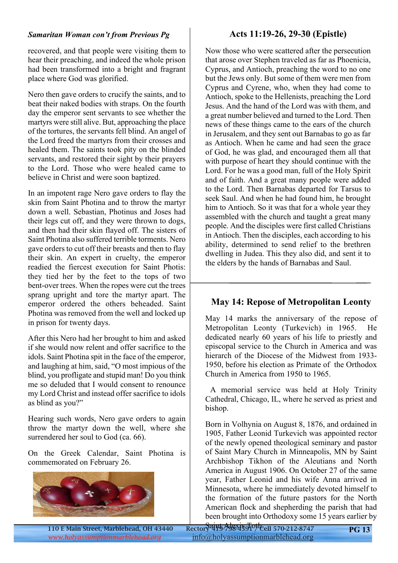#### *Samaritan Woman con't from Previous Pg*

## **Acts 11:19-26, 29-30 (Epistle)**

recovered, and that people were visiting them to hear their preaching, and indeed the whole prison had been transformed into a bright and fragrant place where God was glorified.

Nero then gave orders to crucify the saints, and to beat their naked bodies with straps. On the fourth day the emperor sent servants to see whether the martyrs were still alive. But, approaching the place of the tortures, the servants fell blind. An angel of the Lord freed the martyrs from their crosses and healed them. The saints took pity on the blinded servants, and restored their sight by their prayers to the Lord. Those who were healed came to believe in Christ and were soon baptized.

In an impotent rage Nero gave orders to flay the skin from Saint Photina and to throw the martyr down a well. Sebastian, Photinus and Joses had their legs cut off, and they were thrown to dogs, and then had their skin flayed off. The sisters of Saint Photina also suffered terrible torments. Nero gave orders to cut off their breasts and then to flay their skin. An expert in cruelty, the emperor readied the fiercest execution for Saint Photis: they tied her by the feet to the tops of two bent-over trees. When the ropes were cut the trees sprang upright and tore the martyr apart. The emperor ordered the others beheaded. Saint Photina was removed from the well and locked up in prison for twenty days.

After this Nero had her brought to him and asked if she would now relent and offer sacrifice to the idols. Saint Photina spit in the face of the emperor, and laughing at him, said, "O most impious of the blind, you profligate and stupid man! Do you think me so deluded that I would consent to renounce my Lord Christ and instead offer sacrifice to idols as blind as you?"

Hearing such words, Nero gave orders to again throw the martyr down the well, where she surrendered her soul to God (ca. 66).

On the Greek Calendar, Saint Photina is commemorated on February 26.



Now those who were scattered after the persecution that arose over Stephen traveled as far as Phoenicia, Cyprus, and Antioch, preaching the word to no one but the Jews only. But some of them were men from Cyprus and Cyrene, who, when they had come to Antioch, spoke to the Hellenists, preaching the Lord Jesus. And the hand of the Lord was with them, and a great number believed and turned to the Lord. Then news of these things came to the ears of the church in Jerusalem, and they sent out Barnabas to go as far as Antioch. When he came and had seen the grace of God, he was glad, and encouraged them all that with purpose of heart they should continue with the Lord. For he was a good man, full of the Holy Spirit and of faith. And a great many people were added to the Lord. Then Barnabas departed for Tarsus to seek Saul. And when he had found him, he brought him to Antioch. So it was that for a whole year they assembled with the church and taught a great many people. And the disciples were first called Christians in Antioch. Then the disciples, each according to his ability, determined to send relief to the brethren dwelling in Judea. This they also did, and sent it to the elders by the hands of Barnabas and Saul.

# **May 14: Repose of Metropolitan Leonty**

May 14 marks the anniversary of the repose of Metropolitan Leonty (Turkevich) in 1965. He dedicated nearly 60 years of his life to priestly and episcopal service to the Church in America and was hierarch of the Diocese of the Midwest from 1933- 1950, before his election as Primate of the Orthodox Church in America from 1950 to 1965.

 A memorial service was held at Holy Trinity Cathedral, Chicago, IL, where he served as priest and bishop.

Born in Volhynia on August 8, 1876, and ordained in 1905, Father Leonid Turkevich was appointed rector of the newly opened theological seminary and pastor of Saint Mary Church in Minneapolis, MN by Saint Archbishop Tikhon of the Aleutians and North America in August 1906. On October 27 of the same year, Father Leonid and his wife Anna arrived in Minnesota, where he immediately devoted himself to the formation of the future pastors for the North American flock and shepherding the parish that had been brought into Orthodoxy some 15 years earlier by

*<www.holyassumptionmarblehead.org>* info@holyassumptionmarblehead.org Rector Saint Alexis Totheell 570-212-8747

**PG 13**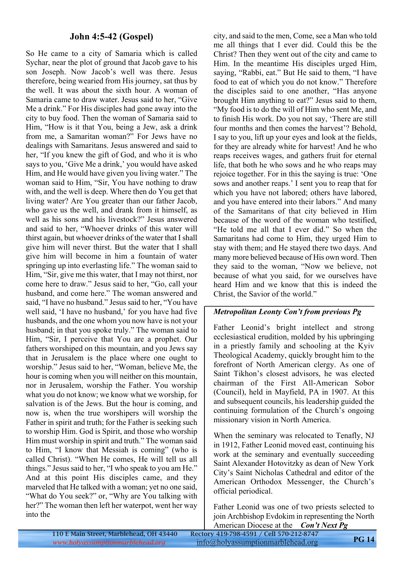## **John 4:5-42 (Gospel)**

So He came to a city of Samaria which is called Sychar, near the plot of ground that Jacob gave to his son Joseph. Now Jacob's well was there. Jesus therefore, being wearied from His journey, sat thus by the well. It was about the sixth hour. A woman of Samaria came to draw water. Jesus said to her, "Give Me a drink." For His disciples had gone away into the city to buy food. Then the woman of Samaria said to Him, "How is it that You, being a Jew, ask a drink from me, a Samaritan woman?" For Jews have no dealings with Samaritans. Jesus answered and said to her, "If you knew the gift of God, and who it is who says to you, 'Give Me a drink,' you would have asked Him, and He would have given you living water." The woman said to Him, "Sir, You have nothing to draw with, and the well is deep. Where then do You get that living water? Are You greater than our father Jacob, who gave us the well, and drank from it himself, as well as his sons and his livestock?" Jesus answered and said to her, "Whoever drinks of this water will thirst again, but whoever drinks of the water that I shall give him will never thirst. But the water that I shall give him will become in him a fountain of water springing up into everlasting life." The woman said to Him, "Sir, give me this water, that I may not thirst, nor come here to draw." Jesus said to her, "Go, call your husband, and come here." The woman answered and said, "I have no husband." Jesus said to her, "You have well said, 'I have no husband,' for you have had five husbands, and the one whom you now have is not your husband; in that you spoke truly." The woman said to Him, "Sir, I perceive that You are a prophet. Our fathers worshiped on this mountain, and you Jews say that in Jerusalem is the place where one ought to worship." Jesus said to her, "Woman, believe Me, the hour is coming when you will neither on this mountain, nor in Jerusalem, worship the Father. You worship what you do not know; we know what we worship, for salvation is of the Jews. But the hour is coming, and now is, when the true worshipers will worship the Father in spirit and truth; for the Father is seeking such to worship Him. God is Spirit, and those who worship Him must worship in spirit and truth." The woman said to Him, "I know that Messiah is coming" (who is called Christ). "When He comes, He will tell us all things." Jesus said to her, "I who speak to you am He." And at this point His disciples came, and they marveled that He talked with a woman; yet no one said, "What do You seek?" or, "Why are You talking with her?" The woman then left her waterpot, went her way into the

city, and said to the men, Come, see a Man who told me all things that I ever did. Could this be the Christ? Then they went out of the city and came to Him. In the meantime His disciples urged Him, saying, "Rabbi, eat." But He said to them, "I have food to eat of which you do not know." Therefore the disciples said to one another, "Has anyone brought Him anything to eat?" Jesus said to them, "My food is to do the will of Him who sent Me, and to finish His work. Do you not say, 'There are still four months and then comes the harvest'? Behold, I say to you, lift up your eyes and look at the fields, for they are already white for harvest! And he who reaps receives wages, and gathers fruit for eternal life, that both he who sows and he who reaps may rejoice together. For in this the saying is true: 'One sows and another reaps.' I sent you to reap that for which you have not labored; others have labored, and you have entered into their labors." And many of the Samaritans of that city believed in Him because of the word of the woman who testified, "He told me all that I ever did." So when the Samaritans had come to Him, they urged Him to stay with them; and He stayed there two days. And many more believed because of His own word. Then they said to the woman, "Now we believe, not because of what you said, for we ourselves have heard Him and we know that this is indeed the Christ, the Savior of the world."

#### *Metropolitan Leonty Con't from previous Pg*

Father Leonid's bright intellect and strong ecclesiastical erudition, molded by his upbringing in a priestly family and schooling at the Kyiv Theological Academy, quickly brought him to the forefront of North American clergy. As one of Saint Tikhon's closest advisors, he was elected chairman of the First All-American Sobor (Council), held in Mayfield, PA in 1907. At this and subsequent councils, his leadership guided the continuing formulation of the Church's ongoing missionary vision in North America.

When the seminary was relocated to Tenafly, NJ in 1912, Father Leonid moved east, continuing his work at the seminary and eventually succeeding Saint Alexander Hotovitzky as dean of New York City's Saint Nicholas Cathedral and editor of the American Orthodox Messenger, the Church's official periodical.

Father Leonid was one of two priests selected to join Archbishop Evdokim in representing the North American Diocese at the *Con't Next Pg*